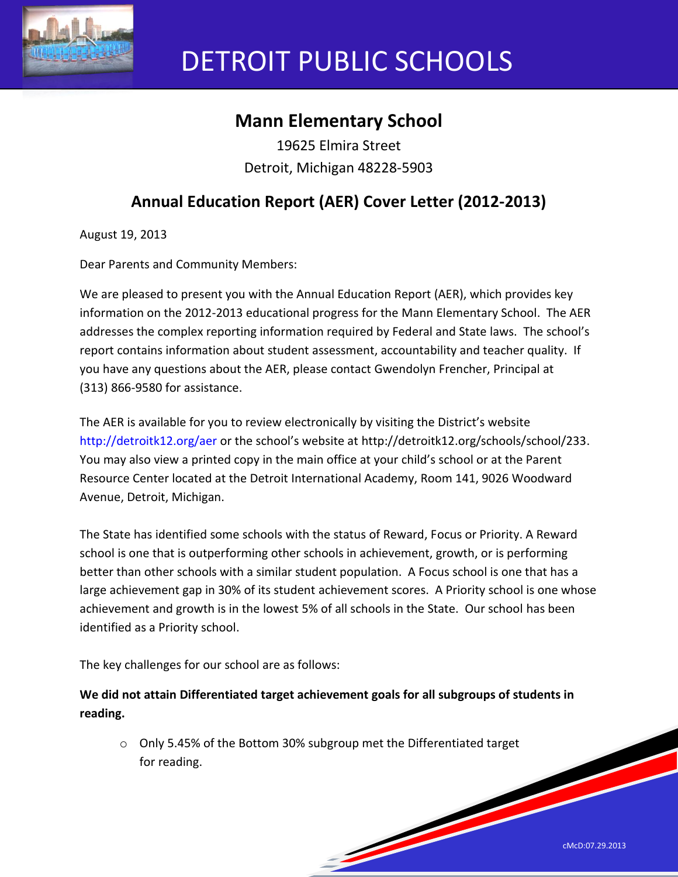

# DETROIT PUBLIC SCHOOLS

## **Mann Elementary School**

19625 Elmira Street Detroit, Michigan 48228-5903

## **Annual Education Report (AER) Cover Letter (2012-2013)**

August 19, 2013

Dear Parents and Community Members:

We are pleased to present you with the Annual Education Report (AER), which provides key information on the 2012-2013 educational progress for the Mann Elementary School. The AER addresses the complex reporting information required by Federal and State laws. The school's report contains information about student assessment, accountability and teacher quality. If you have any questions about the AER, please contact Gwendolyn Frencher, Principal at (313) 866-9580 for assistance.

The AER is available for you to review electronically by visiting the District's website http://detroitk12.org/aer or the school's website at http://detroitk12.org/schools/school/233. You may also view a printed copy in the main office at your child's school or at the Parent Resource Center located at the Detroit International Academy, Room 141, 9026 Woodward Avenue, Detroit, Michigan.

The State has identified some schools with the status of Reward, Focus or Priority. A Reward school is one that is outperforming other schools in achievement, growth, or is performing better than other schools with a similar student population. A Focus school is one that has a large achievement gap in 30% of its student achievement scores. A Priority school is one whose achievement and growth is in the lowest 5% of all schools in the State. Our school has been identified as a Priority school.

The key challenges for our school are as follows:

**We did not attain Differentiated target achievement goals for all subgroups of students in reading.**

o Only 5.45% of the Bottom 30% subgroup met the Differentiated target for reading.

**Soldiers**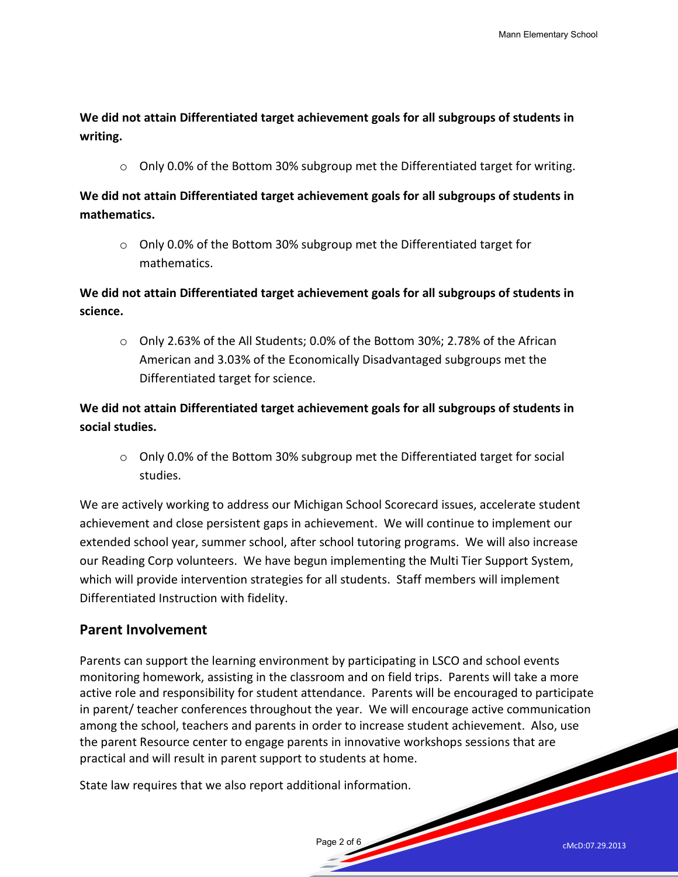**We did not attain Differentiated target achievement goals for all subgroups of students in writing.** 

 $\circ$  Only 0.0% of the Bottom 30% subgroup met the Differentiated target for writing.

**We did not attain Differentiated target achievement goals for all subgroups of students in mathematics.** 

o Only 0.0% of the Bottom 30% subgroup met the Differentiated target for mathematics.

**We did not attain Differentiated target achievement goals for all subgroups of students in science.** 

o Only 2.63% of the All Students; 0.0% of the Bottom 30%; 2.78% of the African American and 3.03% of the Economically Disadvantaged subgroups met the Differentiated target for science.

**We did not attain Differentiated target achievement goals for all subgroups of students in social studies.** 

o Only 0.0% of the Bottom 30% subgroup met the Differentiated target for social studies.

We are actively working to address our Michigan School Scorecard issues, accelerate student achievement and close persistent gaps in achievement. We will continue to implement our extended school year, summer school, after school tutoring programs. We will also increase our Reading Corp volunteers. We have begun implementing the Multi Tier Support System, which will provide intervention strategies for all students. Staff members will implement Differentiated Instruction with fidelity.

#### **Parent Involvement**

Parents can support the learning environment by participating in LSCO and school events monitoring homework, assisting in the classroom and on field trips. Parents will take a more active role and responsibility for student attendance. Parents will be encouraged to participate in parent/ teacher conferences throughout the year. We will encourage active communication among the school, teachers and parents in order to increase student achievement. Also, use the parent Resource center to engage parents in innovative workshops sessions that are practical and will result in parent support to students at home.

Page 2 of 6

State law requires that we also report additional information.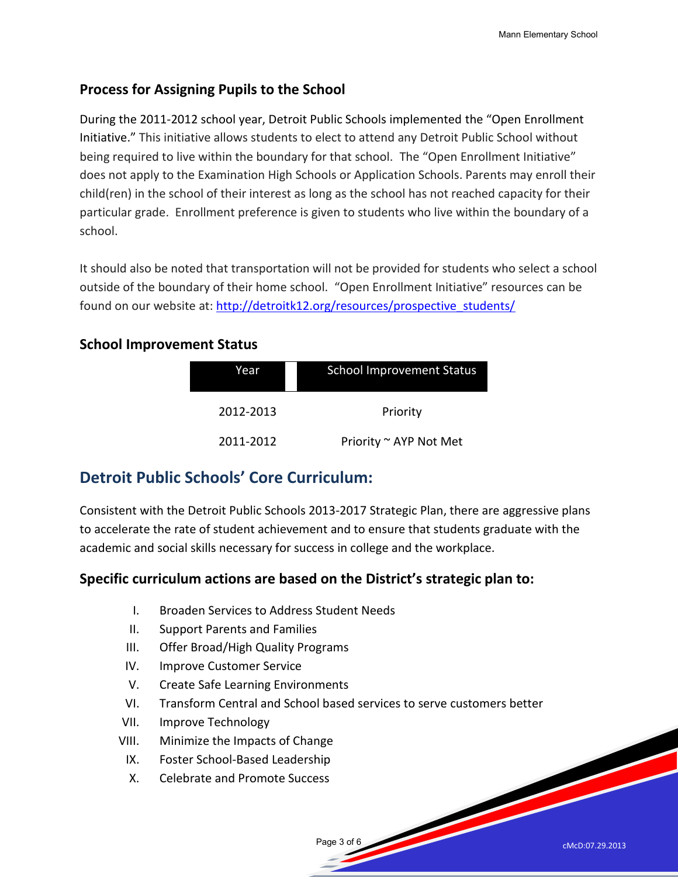#### **Process for Assigning Pupils to the School**

During the 2011-2012 school year, Detroit Public Schools implemented the "Open Enrollment Initiative." This initiative allows students to elect to attend any Detroit Public School without being required to live within the boundary for that school. The "Open Enrollment Initiative" does not apply to the Examination High Schools or Application Schools. Parents may enroll their child(ren) in the school of their interest as long as the school has not reached capacity for their particular grade. Enrollment preference is given to students who live within the boundary of a school.

It should also be noted that transportation will not be provided for students who select a school outside of the boundary of their home school. "Open Enrollment Initiative" resources can be found on our website at: [http://detroitk12.org/resources/prospective\\_students/](http://detroitk12.org/resources/prospective_students/)

#### **School Improvement Status**

| Year      | <b>School Improvement Status</b> |  |
|-----------|----------------------------------|--|
| 2012-2013 | Priority                         |  |
| 2011-2012 | Priority ~ AYP Not Met           |  |

### **Detroit Public Schools' Core Curriculum:**

Consistent with the Detroit Public Schools 2013-2017 Strategic Plan, there are aggressive plans to accelerate the rate of student achievement and to ensure that students graduate with the academic and social skills necessary for success in college and the workplace.

#### **Specific curriculum actions are based on the District's strategic plan to:**

- I. Broaden Services to Address Student Needs
- II. Support Parents and Families
- III. Offer Broad/High Quality Programs
- IV. Improve Customer Service
- V. Create Safe Learning Environments
- VI. Transform Central and School based services to serve customers better

Page 3 of 6

- VII. Improve Technology
- VIII. Minimize the Impacts of Change
	- IX. Foster School-Based Leadership
	- X. Celebrate and Promote Success

cMcD:07.29.2013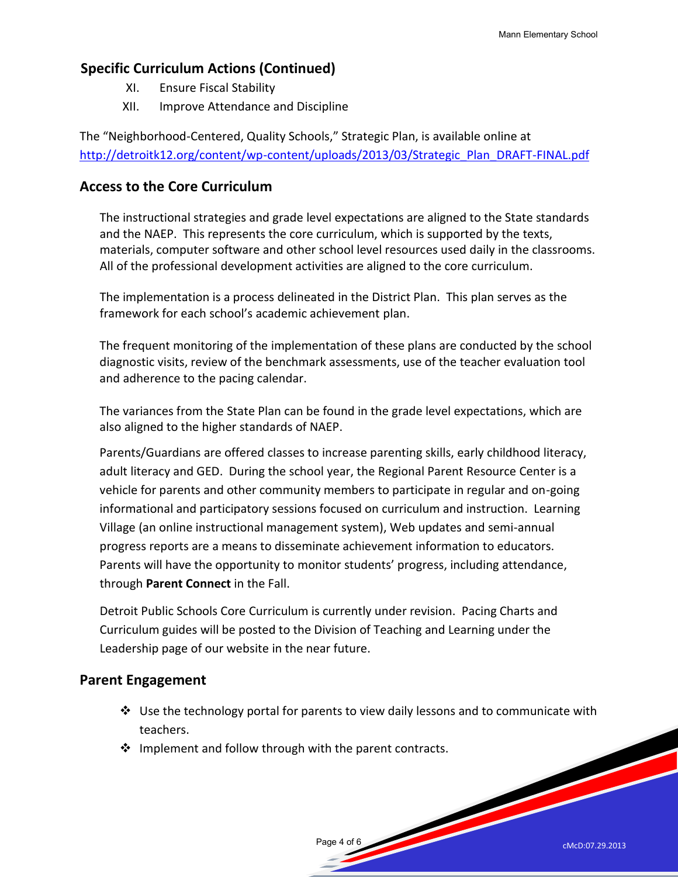#### **Specific Curriculum Actions (Continued)**

- XI. Ensure Fiscal Stability
- XII. Improve Attendance and Discipline

The "Neighborhood-Centered, Quality Schools," Strategic Plan, is available online at [http://detroitk12.org/content/wp-content/uploads/2013/03/Strategic\\_Plan\\_DRAFT-FINAL.pdf](http://detroitk12.org/content/wp-content/uploads/2013/03/Strategic_Plan_DRAFT-FINAL.pdf)

#### **Access to the Core Curriculum**

The instructional strategies and grade level expectations are aligned to the State standards and the NAEP. This represents the core curriculum, which is supported by the texts, materials, computer software and other school level resources used daily in the classrooms. All of the professional development activities are aligned to the core curriculum.

The implementation is a process delineated in the District Plan. This plan serves as the framework for each school's academic achievement plan.

The frequent monitoring of the implementation of these plans are conducted by the school diagnostic visits, review of the benchmark assessments, use of the teacher evaluation tool and adherence to the pacing calendar.

The variances from the State Plan can be found in the grade level expectations, which are also aligned to the higher standards of NAEP.

Parents/Guardians are offered classes to increase parenting skills, early childhood literacy, adult literacy and GED. During the school year, the Regional Parent Resource Center is a vehicle for parents and other community members to participate in regular and on-going informational and participatory sessions focused on curriculum and instruction. Learning Village (an online instructional management system), Web updates and semi-annual progress reports are a means to disseminate achievement information to educators. Parents will have the opportunity to monitor students' progress, including attendance, through **Parent Connect** in the Fall.

Detroit Public Schools Core Curriculum is currently under revision. Pacing Charts and Curriculum guides will be posted to the Division of Teaching and Learning under the Leadership page of our website in the near future.

#### **Parent Engagement**

 $\clubsuit$  Use the technology portal for parents to view daily lessons and to communicate with teachers.

Page 4 of 6

 $\cdot$  Implement and follow through with the parent contracts.

cMcD:07.29.2013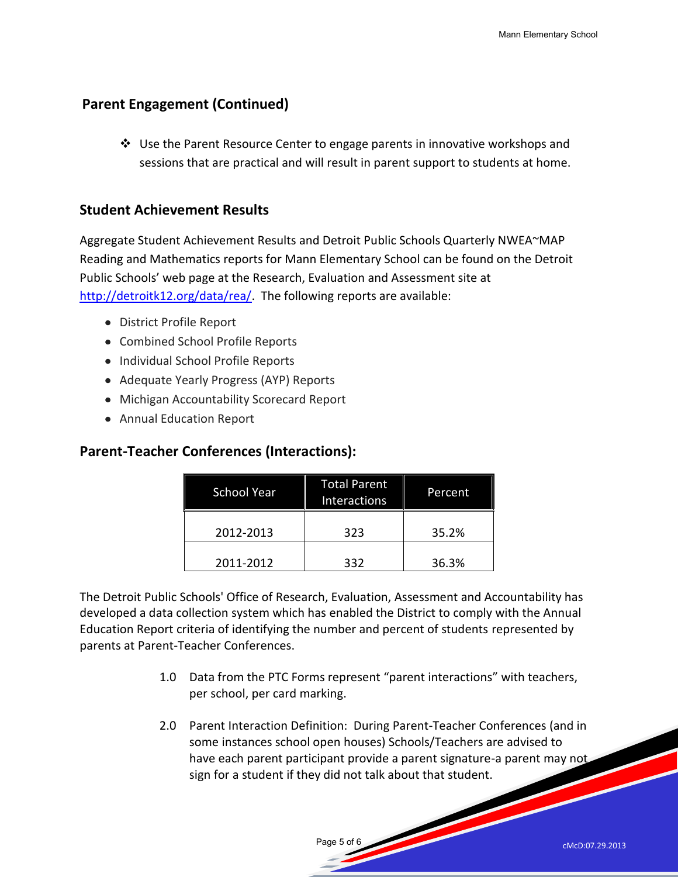#### **Parent Engagement (Continued)**

 $\clubsuit$  Use the Parent Resource Center to engage parents in innovative workshops and sessions that are practical and will result in parent support to students at home.

#### **Student Achievement Results**

Aggregate Student Achievement Results and Detroit Public Schools Quarterly NWEA~MAP Reading and Mathematics reports for Mann Elementary School can be found on the Detroit Public Schools' web page at the Research, Evaluation and Assessment site at [http://detroitk12.org/data/rea/.](http://detroitk12.org/data/rea/) The following reports are available:

- District Profile Report
- Combined School Profile Reports
- Individual School Profile Reports
- Adequate Yearly Progress (AYP) Reports
- Michigan Accountability Scorecard Report
- Annual Education Report

#### **Parent-Teacher Conferences (Interactions):**

| <b>School Year</b> | <b>Total Parent</b><br><b>Interactions</b> | Percent |
|--------------------|--------------------------------------------|---------|
| 2012-2013          | 323                                        | 35.2%   |
| 2011-2012          | 332                                        | 36.3%   |

The Detroit Public Schools' Office of Research, Evaluation, Assessment and Accountability has developed a data collection system which has enabled the District to comply with the Annual Education Report criteria of identifying the number and percent of students represented by parents at Parent-Teacher Conferences.

Page 5 of 6

- 1.0 Data from the PTC Forms represent "parent interactions" with teachers, per school, per card marking.
- 2.0 Parent Interaction Definition: During Parent-Teacher Conferences (and in some instances school open houses) Schools/Teachers are advised to have each parent participant provide a parent signature-a parent may not sign for a student if they did not talk about that student.